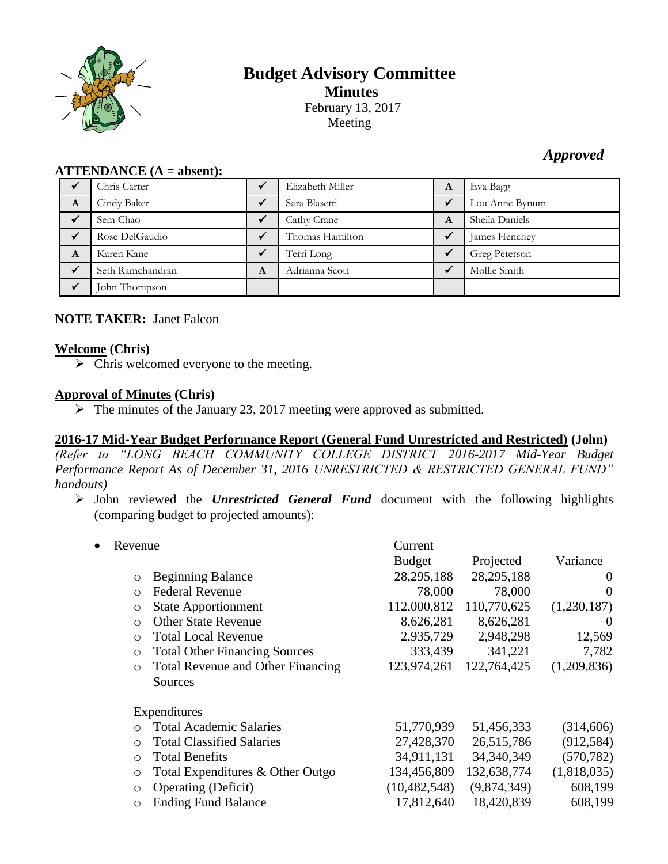

# **Budget Advisory Committee Minutes** February 13, 2017 Meeting

## *Approved*

| $ALLEIVDANCE (A - anseIII).$ |                  |   |                  |   |                |
|------------------------------|------------------|---|------------------|---|----------------|
|                              | Chris Carter     |   | Elizabeth Miller | A | Eva Bagg       |
| A                            | Cindy Baker      |   | Sara Blasetti    | ✔ | Lou Anne Bynum |
|                              | Sem Chao         |   | Cathy Crane      | A | Sheila Daniels |
|                              | Rose DelGaudio   |   | Thomas Hamilton  |   | James Henchey  |
| A                            | Karen Kane       |   | Terri Long       | ✓ | Greg Peterson  |
|                              | Seth Ramchandran | A | Adrianna Scott   |   | Mollie Smith   |
|                              | John Thompson    |   |                  |   |                |

## **ATTENDANCE (A = absent):**

#### **NOTE TAKER:** Janet Falcon

#### **Welcome (Chris)**

 $\triangleright$  Chris welcomed everyone to the meeting.

### **Approval of Minutes (Chris)**

 $\triangleright$  The minutes of the January 23, 2017 meeting were approved as submitted.

#### **2016-17 Mid-Year Budget Performance Report (General Fund Unrestricted and Restricted) (John)**

*(Refer to "LONG BEACH COMMUNITY COLLEGE DISTRICT 2016-2017 Mid-Year Budget Performance Report As of December 31, 2016 UNRESTRICTED & RESTRICTED GENERAL FUND" handouts)*

 John reviewed the *Unrestricted General Fund* document with the following highlights (comparing budget to projected amounts):

| Revenue                                                                                                                                                                                                                                                                           | Current<br><b>Budget</b>                                                              | Projected                                                                            | Variance                                                                   |
|-----------------------------------------------------------------------------------------------------------------------------------------------------------------------------------------------------------------------------------------------------------------------------------|---------------------------------------------------------------------------------------|--------------------------------------------------------------------------------------|----------------------------------------------------------------------------|
| <b>Beginning Balance</b><br>$\circ$<br><b>Federal Revenue</b><br>$\bigcirc$<br><b>State Apportionment</b><br>$\circ$                                                                                                                                                              | 28, 295, 188<br>78,000<br>112,000,812                                                 | 28,295,188<br>78,000<br>110,770,625                                                  | $\theta$<br>$\theta$<br>(1,230,187)                                        |
| <b>Other State Revenue</b><br>$\circ$<br><b>Total Local Revenue</b><br>$\circ$<br><b>Total Other Financing Sources</b><br>$\circ$<br><b>Total Revenue and Other Financing</b><br>$\circ$<br>Sources                                                                               | 8,626,281<br>2,935,729<br>333,439<br>123,974,261                                      | 8,626,281<br>2,948,298<br>341,221<br>122,764,425                                     | $\theta$<br>12,569<br>7,782<br>(1,209,836)                                 |
| Expenditures<br><b>Total Academic Salaries</b><br>$\bigcirc$<br><b>Total Classified Salaries</b><br>$\Omega$<br><b>Total Benefits</b><br>$\circ$<br>Total Expenditures & Other Outgo<br>$\circ$<br><b>Operating (Deficit)</b><br>$\circ$<br><b>Ending Fund Balance</b><br>$\circ$ | 51,770,939<br>27,428,370<br>34,911,131<br>134,456,809<br>(10, 482, 548)<br>17,812,640 | 51,456,333<br>26,515,786<br>34, 340, 349<br>132,638,774<br>(9,874,349)<br>18,420,839 | (314,606)<br>(912, 584)<br>(570, 782)<br>(1,818,035)<br>608,199<br>608,199 |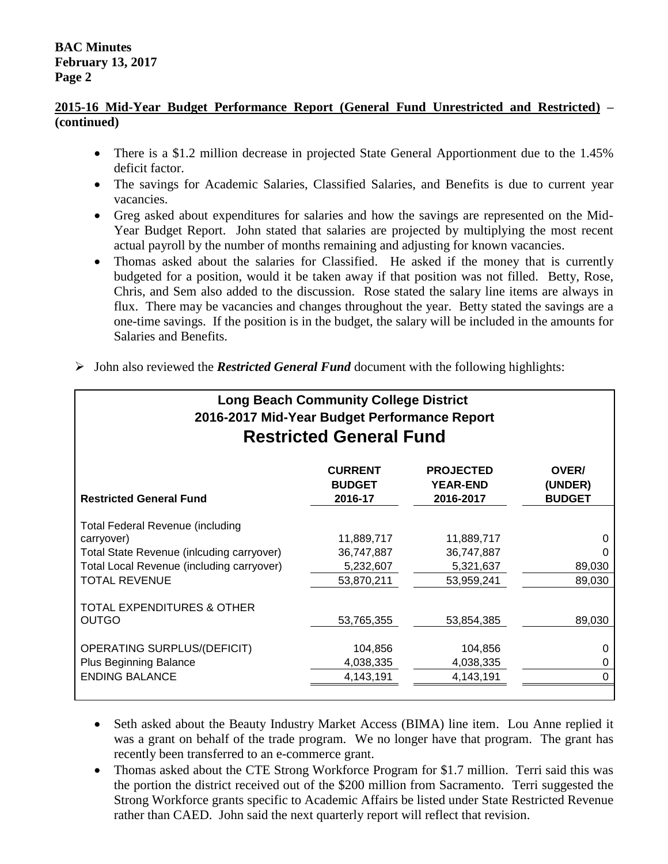#### **2015-16 Mid-Year Budget Performance Report (General Fund Unrestricted and Restricted) – (continued)**

- There is a \$1.2 million decrease in projected State General Apportionment due to the 1.45% deficit factor.
- The savings for Academic Salaries, Classified Salaries, and Benefits is due to current year vacancies.
- Greg asked about expenditures for salaries and how the savings are represented on the Mid-Year Budget Report. John stated that salaries are projected by multiplying the most recent actual payroll by the number of months remaining and adjusting for known vacancies.
- Thomas asked about the salaries for Classified. He asked if the money that is currently budgeted for a position, would it be taken away if that position was not filled. Betty, Rose, Chris, and Sem also added to the discussion. Rose stated the salary line items are always in flux. There may be vacancies and changes throughout the year. Betty stated the savings are a one-time savings. If the position is in the budget, the salary will be included in the amounts for Salaries and Benefits.

| <b>Long Beach Community College District</b><br>2016-2017 Mid-Year Budget Performance Report<br><b>Restricted General Fund</b> |                                            |                                                  |                                   |  |
|--------------------------------------------------------------------------------------------------------------------------------|--------------------------------------------|--------------------------------------------------|-----------------------------------|--|
| <b>Restricted General Fund</b>                                                                                                 | <b>CURRENT</b><br><b>BUDGET</b><br>2016-17 | <b>PROJECTED</b><br><b>YEAR-END</b><br>2016-2017 | OVER/<br>(UNDER)<br><b>BUDGET</b> |  |
| <b>Total Federal Revenue (including</b>                                                                                        |                                            |                                                  |                                   |  |
| carryover)                                                                                                                     | 11,889,717                                 | 11,889,717                                       | 0                                 |  |
| Total State Revenue (inlcuding carryover)<br>Total Local Revenue (including carryover)                                         | 36,747,887<br>5,232,607                    | 36,747,887<br>5,321,637                          | O<br>89,030                       |  |
| <b>TOTAL REVENUE</b>                                                                                                           | 53,870,211                                 | 53,959,241                                       | 89,030                            |  |
| TOTAL EXPENDITURES & OTHER<br><b>OUTGO</b>                                                                                     | 53,765,355                                 | 53,854,385                                       | 89,030                            |  |
| OPERATING SURPLUS/(DEFICIT)                                                                                                    | 104,856                                    | 104,856                                          | 0                                 |  |
| <b>Plus Beginning Balance</b>                                                                                                  | 4,038,335                                  | 4,038,335                                        | 0                                 |  |
| <b>ENDING BALANCE</b>                                                                                                          | 4,143,191                                  | 4,143,191                                        | 0                                 |  |
|                                                                                                                                |                                            |                                                  |                                   |  |

 $\triangleright$  John also reviewed the *Restricted General Fund* document with the following highlights:

- Seth asked about the Beauty Industry Market Access (BIMA) line item. Lou Anne replied it was a grant on behalf of the trade program. We no longer have that program. The grant has recently been transferred to an e-commerce grant.
- Thomas asked about the CTE Strong Workforce Program for \$1.7 million. Terri said this was the portion the district received out of the \$200 million from Sacramento. Terri suggested the Strong Workforce grants specific to Academic Affairs be listed under State Restricted Revenue rather than CAED. John said the next quarterly report will reflect that revision.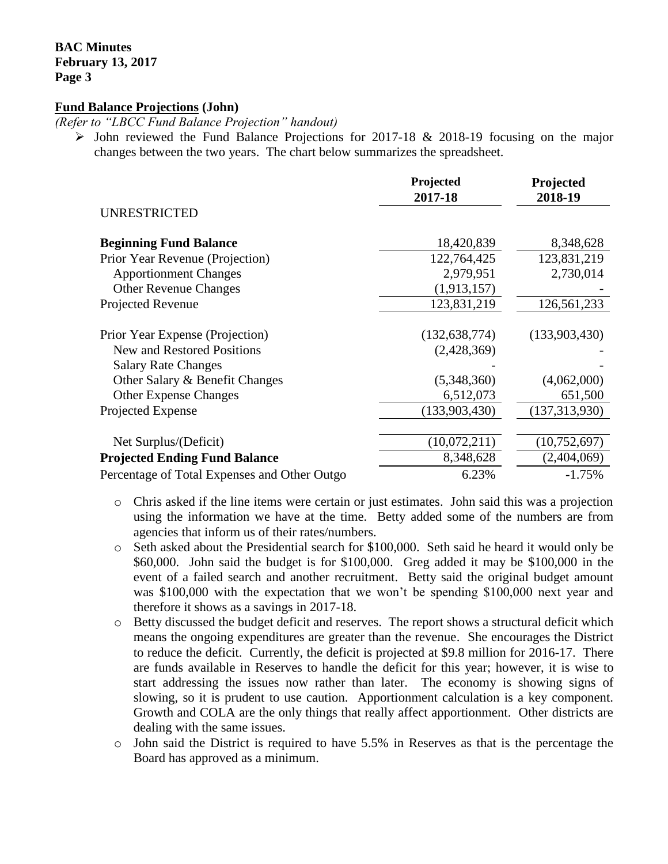**BAC Minutes February 13, 2017 Page 3**

#### **Fund Balance Projections (John)**

*(Refer to "LBCC Fund Balance Projection" handout)*

 $\triangleright$  John reviewed the Fund Balance Projections for 2017-18 & 2018-19 focusing on the major changes between the two years. The chart below summarizes the spreadsheet.

|                                              | Projected<br>2017-18 | Projected<br>2018-19 |
|----------------------------------------------|----------------------|----------------------|
| <b>UNRESTRICTED</b>                          |                      |                      |
| <b>Beginning Fund Balance</b>                | 18,420,839           | 8,348,628            |
| Prior Year Revenue (Projection)              | 122,764,425          | 123,831,219          |
| <b>Apportionment Changes</b>                 | 2,979,951            | 2,730,014            |
| <b>Other Revenue Changes</b>                 | (1,913,157)          |                      |
| Projected Revenue                            | 123,831,219          | 126,561,233          |
| Prior Year Expense (Projection)              | (132, 638, 774)      | (133,903,430)        |
| New and Restored Positions                   | (2,428,369)          |                      |
| <b>Salary Rate Changes</b>                   |                      |                      |
| Other Salary & Benefit Changes               | (5,348,360)          | (4,062,000)          |
| <b>Other Expense Changes</b>                 | 6,512,073            | 651,500              |
| Projected Expense                            | (133,903,430)        | (137, 313, 930)      |
|                                              |                      |                      |
| Net Surplus/(Deficit)                        | (10,072,211)         | (10, 752, 697)       |
| <b>Projected Ending Fund Balance</b>         | 8,348,628            | (2,404,069)          |
| Percentage of Total Expenses and Other Outgo | 6.23%                | $-1.75%$             |

- o Chris asked if the line items were certain or just estimates. John said this was a projection using the information we have at the time. Betty added some of the numbers are from agencies that inform us of their rates/numbers.
- o Seth asked about the Presidential search for \$100,000. Seth said he heard it would only be \$60,000. John said the budget is for \$100,000. Greg added it may be \$100,000 in the event of a failed search and another recruitment. Betty said the original budget amount was \$100,000 with the expectation that we won't be spending \$100,000 next year and therefore it shows as a savings in 2017-18.
- o Betty discussed the budget deficit and reserves. The report shows a structural deficit which means the ongoing expenditures are greater than the revenue. She encourages the District to reduce the deficit. Currently, the deficit is projected at \$9.8 million for 2016-17. There are funds available in Reserves to handle the deficit for this year; however, it is wise to start addressing the issues now rather than later. The economy is showing signs of slowing, so it is prudent to use caution. Apportionment calculation is a key component. Growth and COLA are the only things that really affect apportionment. Other districts are dealing with the same issues.
- o John said the District is required to have 5.5% in Reserves as that is the percentage the Board has approved as a minimum.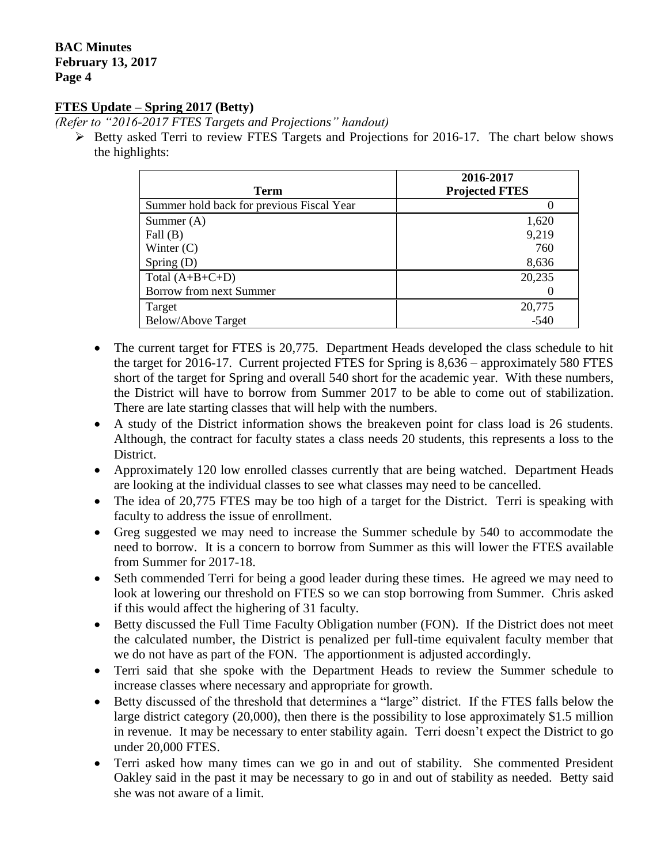#### **BAC Minutes February 13, 2017 Page 4**

#### **FTES Update – Spring 2017 (Betty)**

*(Refer to "2016-2017 FTES Targets and Projections" handout)*

 $\triangleright$  Betty asked Terri to review FTES Targets and Projections for 2016-17. The chart below shows the highlights:

| <b>Term</b>                               | 2016-2017<br><b>Projected FTES</b> |
|-------------------------------------------|------------------------------------|
| Summer hold back for previous Fiscal Year |                                    |
| Summer $(A)$                              | 1,620                              |
| Fall $(B)$                                | 9,219                              |
| Winter $(C)$                              | 760                                |
| Spring $(D)$                              | 8,636                              |
| Total $(A+B+C+D)$                         | 20,235                             |
| Borrow from next Summer                   |                                    |
| Target                                    | 20,775                             |
| <b>Below/Above Target</b>                 | $-540$                             |

- The current target for FTES is 20,775. Department Heads developed the class schedule to hit the target for 2016-17. Current projected FTES for Spring is 8,636 – approximately 580 FTES short of the target for Spring and overall 540 short for the academic year. With these numbers, the District will have to borrow from Summer 2017 to be able to come out of stabilization. There are late starting classes that will help with the numbers.
- A study of the District information shows the breakeven point for class load is 26 students. Although, the contract for faculty states a class needs 20 students, this represents a loss to the District.
- Approximately 120 low enrolled classes currently that are being watched. Department Heads are looking at the individual classes to see what classes may need to be cancelled.
- The idea of 20,775 FTES may be too high of a target for the District. Terri is speaking with faculty to address the issue of enrollment.
- Greg suggested we may need to increase the Summer schedule by 540 to accommodate the need to borrow. It is a concern to borrow from Summer as this will lower the FTES available from Summer for 2017-18.
- Seth commended Terri for being a good leader during these times. He agreed we may need to look at lowering our threshold on FTES so we can stop borrowing from Summer. Chris asked if this would affect the highering of 31 faculty.
- Betty discussed the Full Time Faculty Obligation number (FON). If the District does not meet the calculated number, the District is penalized per full-time equivalent faculty member that we do not have as part of the FON. The apportionment is adjusted accordingly.
- Terri said that she spoke with the Department Heads to review the Summer schedule to increase classes where necessary and appropriate for growth.
- Betty discussed of the threshold that determines a "large" district. If the FTES falls below the large district category (20,000), then there is the possibility to lose approximately \$1.5 million in revenue. It may be necessary to enter stability again. Terri doesn't expect the District to go under 20,000 FTES.
- Terri asked how many times can we go in and out of stability. She commented President Oakley said in the past it may be necessary to go in and out of stability as needed. Betty said she was not aware of a limit.